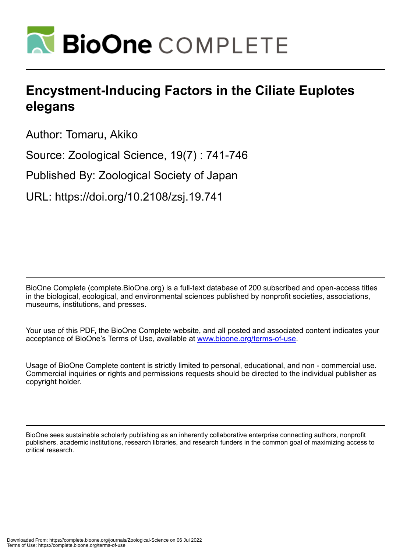

# **Encystment-Inducing Factors in the Ciliate Euplotes elegans**

Author: Tomaru, Akiko

Source: Zoological Science, 19(7) : 741-746

Published By: Zoological Society of Japan

URL: https://doi.org/10.2108/zsj.19.741

BioOne Complete (complete.BioOne.org) is a full-text database of 200 subscribed and open-access titles in the biological, ecological, and environmental sciences published by nonprofit societies, associations, museums, institutions, and presses.

Your use of this PDF, the BioOne Complete website, and all posted and associated content indicates your acceptance of BioOne's Terms of Use, available at www.bioone.org/terms-of-use.

Usage of BioOne Complete content is strictly limited to personal, educational, and non - commercial use. Commercial inquiries or rights and permissions requests should be directed to the individual publisher as copyright holder.

BioOne sees sustainable scholarly publishing as an inherently collaborative enterprise connecting authors, nonprofit publishers, academic institutions, research libraries, and research funders in the common goal of maximizing access to critical research.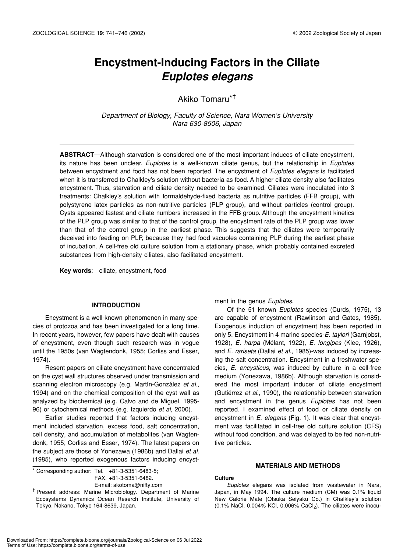# **Encystment-Inducing Factors in the Ciliate** *Euplotes elegans*

# Akiko Tomaru\*†

*Department of Biology, Faculty of Science, Nara Women's University Nara 630-8506, Japan*

**ABSTRACT**—Although starvation is considered one of the most important induces of ciliate encystment, its nature has been unclear. *Euplotes* is a well-known ciliate genus, but the relationship in *Euplotes* between encystment and food has not been reported. The encystment of *Euplotes elegans* is facilitated when it is transferred to Chalkley's solution without bacteria as food. A higher ciliate density also facilitates encystment. Thus, starvation and ciliate density needed to be examined. Ciliates were inoculated into 3 treatments: Chalkley's solution with formaldehyde-fixed bacteria as nutritive particles (FFB group), with polystyrene latex particles as non-nutritive particles (PLP group), and without particles (control group). Cysts appeared fastest and ciliate numbers increased in the FFB group. Although the encystment kinetics of the PLP group was similar to that of the control group, the encystment rate of the PLP group was lower than that of the control group in the earliest phase. This suggests that the ciliates were temporarily deceived into feeding on PLP, because they had food vacuoles containing PLP during the earliest phase of incubation. A cell-free old culture solution from a stationary phase, which probably contained excreted substances from high-density ciliates, also facilitated encystment.

**Key words**: ciliate, encystment, food

### **INTRODUCTION**

Encystment is a well-known phenomenon in many species of protozoa and has been investigated for a long time. In recent years, however, few papers have dealt with causes of encystment, even though such research was in vogue until the 1950s (van Wagtendonk, 1955; Corliss and Esser, 1974).

Resent papers on ciliate encystment have concentrated on the cyst wall structures observed under transmission and scanning electron microscopy (e.g. Martín-González *et al*., 1994) and on the chemical composition of the cyst wall as analyzed by biochemical (e.g. Calvo and de Miguel, 1995- 96) or cytochemical methods (e.g. Izquierdo *et al*, 2000).

Earlier studies reported that factors inducing encystment included starvation, excess food, salt concentration, cell density, and accumulation of metabolites (van Wagtendonk, 1955; Corliss and Esser, 1974). The latest papers on the subject are those of Yonezawa (1986b) and Dallai *et al*. (1985), who reported exogenous factors inducing encyst-

\* Corresponding author: Tel. +81-3-5351-6483-5; FAX. +81-3-5351-6482. E-mail: akotoma@nifty.com

† Present address: Marine Microbiology. Department of Marine Ecosystems Dynamics Ocean Reserch Institute, University of Tokyo, Nakano, Tokyo 164-8639, Japan.

ment in the genus *Euplotes*.

Of the 51 known *Euplotes* species (Curds, 1975), 13 are capable of encystment (Rawlinson and Gates, 1985). Exogenous induction of encystment has been reported in only 5. Encystment in 4 marine species-*E. taylori* (Garnjobst, 1928), *E. harpa* (Mélant, 1922), *E. longipes* (Klee, 1926), and *E. rariseta* (Dallai *et al*., 1985)-was induced by increasing the salt concentration. Encystment in a freshwater species, *E. encysticus*, was induced by culture in a cell-free medium (Yonezawa, 1986b). Although starvation is considered the most important inducer of ciliate encystment (Gutiérrez *et al*., 1990), the relationship between starvation and encystment in the genus *Euplotes* has not been reported. I examined effect of food or ciliate density on encystment in *E. elegans* (Fig. 1). It was clear that encystment was facilitated in cell-free old culture solution (CFS) without food condition, and was delayed to be fed non-nutritive particles.

# **MATERIALS AND METHODS**

#### **Culture**

*Euplotes* elegans was isolated from wastewater in Nara, Japan, in May 1994. The culture medium (CM) was 0.1% liquid New Calorie Mate (Otsuka Seiyaku Co.) in Chalkley's solution  $(0.1\%$  NaCl, 0.004% KCl, 0.006% CaCl<sub>2</sub>). The ciliates were inocu-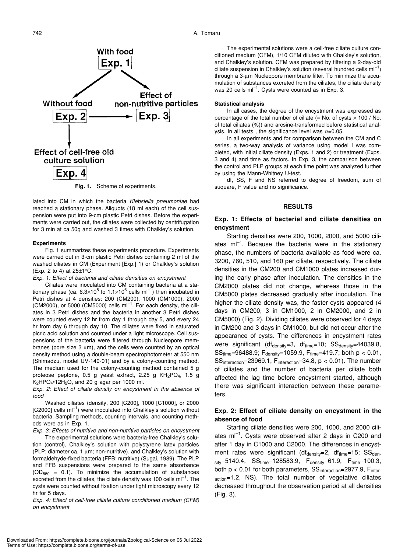

**Fig. 1.** Scheme of experiments.

lated into CM in which the bacteria *Klebsiella pneumoniae* had reached a stationary phase. Aliquots (18 ml each) of the cell suspension were put into 9-cm plastic Petri dishes. Before the experiments were carried out, the ciliates were collected by centrifugation for 3 min at ca 50g and washed 3 times with Chalkley's solution.

#### **Experiments**

Fig. 1 summarizes these experiments procedure. Experiments were carried out in 3-cm plastic Petri dishes containing 2 ml of the washed ciliates in CM (Experiment [Exp.] 1) or Chalkley's solution (Exp. 2 to 4) at  $25 \pm 1^{\circ}$ C.

*Exp. 1: Effect of bacterial and ciliate densities on encystment*

Ciliates were inoculated into CM containing bacteria at a stationary phase (ca. 6.3×10<sup>5</sup> to 1.1×10<sup>6</sup> cells ml<sup>-1</sup>) then incubated in Petri dishes at 4 densities: 200 (CM200), 1000 (CM1000), 2000  $(CM2000)$ , or 5000  $(CM5000)$  cells m $I^{-1}$ . For each density, the ciliates in 3 Petri dishes and the bacteria in another 3 Petri dishes were counted every 12 hr from day 1 through day 5, and every 24 hr from day 6 through day 10. The ciliates were fixed in saturated picric acid solution and counted under a light microscope. Cell suspensions of the bacteria were filtered through Nucleopore membranes (pore size 3 µm), and the cells were counted by an optical density method using a double-beam spectrophotometer at 550 nm (Shimadzu, model UV-140-01) and by a colony-counting method. The medium used for the colony-counting method contained 5 g proteose peptone, 0.5 g yeast extract, 2.25 g KH<sub>2</sub>PO<sub>4</sub>, 1.5 g  $K<sub>2</sub>HPO<sub>4</sub>$ •12H<sub>2</sub>O, and 20 g agar per 1000 ml.

*Exp. 2: Effect of ciliate density on encystment in the absence of food*

Washed ciliates (density, 200 [C200], 1000 [C1000], or 2000  $[C2000]$  cells  $ml^{-1}$ ) were inoculated into Chalkley's solution without bacteria. Sampling methods, counting intervals, and counting methods were as in Exp. 1.

*Exp. 3: Effects of nutritive and non-nutritive particles on encystment* The experimental solutions were bacteria-free Chalkley's solution (control), Chalkley's solution with polystyrene latex particles (PLP; diameter ca. 1 µm; non-nutritive), and Chalkley's solution with formaldehyde-fixed bacteria (FFB; nutritive) (Sugai, 1989). The PLP and FFB suspensions were prepared to the same absorbance  $(OD_{550} = 0.1)$ . To minimize the accumulation of substances excreted from the ciliates, the ciliate density was 100 cells  $ml^{-1}$ . The cysts were counted without fixation under light microscopy every 12 hr for 5 days.

*Exp. 4: Effect of cell-free ciliate culture conditioned medium (CFM) on encystment*

The experimental solutions were a cell-free ciliate culture conditioned medium (CFM), 1/10 CFM diluted with Chalkley's solution, and Chalkley's solution. CFM was prepared by filtering a 2-day-old ciliate suspension in Chalkley's solution (several hundred cells  $ml^{-1}$ ) through a 3-µm Nucleopore membrane filter. To minimize the accumulation of substances excreted from the ciliates, the ciliate density was 20 cells  $ml^{-1}$ . Cysts were counted as in Exp. 3.

#### **Statistical analysis**

In all cases, the degree of the encystment was expressed as percentage of the total number of ciliate (= No. of cysts  $\times$  100 / No. of total ciliates (%)) and arcsine-transformed before statistical analysis. In all tests, the significance level was  $\alpha$ =0.05.

In all experiments and for comparison between the CM and C series, a two-way analysis of variance using model I was completed, with initial ciliate density (Exps. 1 and 2) or treatment (Exps. 3 and 4) and time as factors. In Exp. 3, the comparison between the control and PLP groups at each time point was analyzed further by using the Mann-Whitney U-test.

df, SS, F and NS referred to degree of freedom, sum of suquare, F value and no significance.

#### **RESULTS**

# **Exp. 1: Effects of bacterial and ciliate densities on encystment**

Starting densities were 200, 1000, 2000, and 5000 ciliates  $ml^{-1}$ . Because the bacteria were in the stationary phase, the numbers of bacteria available as food were ca. 3200, 760, 510, and 160 per ciliate, respectively. The ciliate densities in the CM200 and CM1000 plates increased during the early phase after inoculation. The densities in the CM2000 plates did not change, whereas those in the CM5000 plates decreased gradually after inoculation. The higher the ciliate density was, the faster cysts appeared (4 days in CM200, 3 in CM1000, 2 in CM2000, and 2 in CM5000) (Fig. 2). Dividing ciliates were observed for 4 days in CM200 and 3 days in CM1000, but did not occur after the appearance of cysts. The differences in encystment rates were significant ( $df_{density}=3$ ,  $df_{time}=10$ ;  $SS_{density}=44039.8$ ,  $SS_{time} = 96488.9$ ;  $F_{density} = 1059.9$ ,  $F_{time} = 419.7$ ; both  $p < 0.01$ , SSinteraction=23969.1, Finteraction=34.8, p < 0.01). The number of ciliates and the number of bacteria per ciliate both affected the lag time before encystment started, although there was significant interaction between these parameters.

# **Exp. 2: Effect of ciliate density on encystment in the absence of food**

Starting ciliate densities were 200, 1000, and 2000 ciliates  $ml^{-1}$ . Cysts were observed after 2 days in C200 and after 1 day in C1000 and C2000. The differences in encystment rates were significant (dfdensity=2, df $t_{time}$ =15; SSden $sity = 5140.4$ ,  $SStime = 128583.9$ ,  $F_{density} = 61.9$ ,  $F_{time} = 100.3$ , both p < 0.01 for both parameters, SS<sub>interaction</sub>=2977.9, Finteraction=1.2, NS). The total number of vegetative ciliates decreased throughout the observation period at all densities (Fig. 3).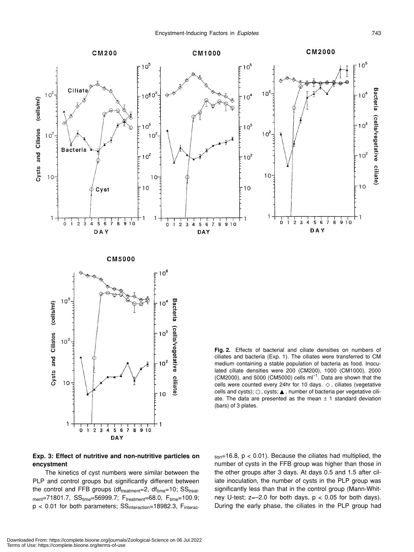

**CM5000** 



**Fig. 2.** Effects of bacterial and ciliate densities on numbers of ciliates and bacteria (Exp. 1). The ciliates were transferred to CM medium containing a stable population of bacteria as food. Inoculated ciliate densities were 200 (CM200), 1000 (CM1000), 2000 (CM2000), and 5000 (CM5000) cells  $ml^{-1}$ . Data are shown that the cells were counted every 24hr for 10 days. , ciliates (vegetative cells and cysts); , cysts; , number of bacteria per vegetative ciliate. The data are presented as the mean  $\pm$  1 standard deviation (bars) of 3 plates.

# **Exp. 3: Effect of nutritive and non-nutritive particles on encystment**

The kinetics of cyst numbers were similar between the PLP and control groups but significantly different between the control and FFB groups (df $_{treatment}=2$ , df $_{time}=10$ ; SS $_{treat}$ .  $m_{ent}$ =71801.7,  $SS_{time}$ =56999.7;  $F_{treatment}$ =68.0,  $F_{time}$ =100.9;  $p < 0.01$  for both parameters;  $SS<sub>interaction</sub>=18982.3$ ,  $F<sub>interac</sub>$ .  $_{\text{tion}}$ =16.8,  $p < 0.01$ ). Because the ciliates had multiplied, the number of cysts in the FFB group was higher than those in the other groups after 3 days. At days 0.5 and 1.5 after ciliate inoculation, the number of cysts in the PLP group was significantly less than that in the control group (Mann-Whitney U-test;  $z=-2.0$  for both days,  $p < 0.05$  for both days). During the early phase, the ciliates in the PLP group had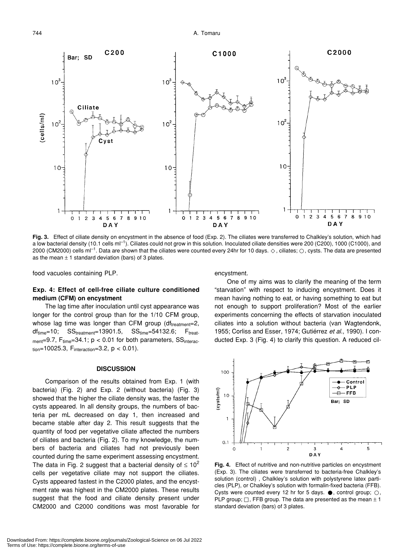744 A. Tomaru



**Fig. 3.** Effect of ciliate density on encystment in the absence of food (Exp. 2). The ciliates were transferred to Chalkley's solution, which had a low bacterial density (10.1 cells ml<sup>-1</sup>). Ciliates could not grow in this solution. Inoculated ciliate densities were 200 (C200), 1000 (C1000), and 2000 (CM2000) cells ml<sup>-1</sup>. Data are shown that the ciliates were counted every 24hr for 10 days. , ciliates; , cysts. The data are presented as the mean  $\pm$  1 standard deviation (bars) of 3 plates.

food vacuoles containing PLP.

# **Exp. 4: Effect of cell-free ciliate culture conditioned medium (CFM) on encystment**

The lag time after inoculation until cyst appearance was longer for the control group than for the 1/10 CFM group, whose lag time was longer than CFM group ( $df_{treatment}=2$ ,  $df_{time}=10$ ;  $SS_{treatment}=13901.5$ ,  $SS_{time}=54132.6$ ;  $F_{treat}$  $m_{ent}=9.7$ ,  $F_{time}=34.1$ ;  $p < 0.01$  for both parameters,  $SS_{interac}$ tion=10025.3,  $F_{interaction} = 3.2$ ,  $p < 0.01$ ).

### **DISCUSSION**

Comparison of the results obtained from Exp. 1 (with bacteria) (Fig. 2) and Exp. 2 (without bacteria) (Fig. 3) showed that the higher the ciliate density was, the faster the cysts appeared. In all density groups, the numbers of bacteria per mL decreased on day 1, then increased and became stable after day 2. This result suggests that the quantity of food per vegetative ciliate affected the numbers of ciliates and bacteria (Fig. 2). To my knowledge, the numbers of bacteria and ciliates had not previously been counted during the same experiment assessing encystment. The data in Fig. 2 suggest that a bacterial density of  $\leq 10^2$ cells per vegetative ciliate may not support the ciliates. Cysts appeared fastest in the C2000 plates, and the encystment rate was highest in the CM2000 plates. These results suggest that the food and ciliate density present under CM2000 and C2000 conditions was most favorable for encystment.

One of my aims was to clarify the meaning of the term "starvation" with respect to inducing encystment. Does it mean having nothing to eat, or having something to eat but not enough to support proliferation? Most of the earlier experiments concerning the effects of starvation inoculated ciliates into a solution without bacteria (van Wagtendonk, 1955; Corliss and Esser, 1974; Gutiérrez *et al*., 1990). I conducted Exp. 3 (Fig. 4) to clarify this question. A reduced cil-



**Fig. 4.** Effect of nutritive and non-nutritive particles on encystment (Exp. 3). The ciliates were transferred to bacteria-free Chalkley's solution (control) , Chalkley's solution with polystyrene latex particles (PLP), or Chalkley's solution with formalin-fixed bacteria (FFB). Cysts were counted every 12 hr for 5 days. , control group; PLP group; , FFB group. The data are presented as the mean  $\pm$  1 standard deviation (bars) of 3 plates.

Terms of Use: https://complete.bioone.org/terms-of-use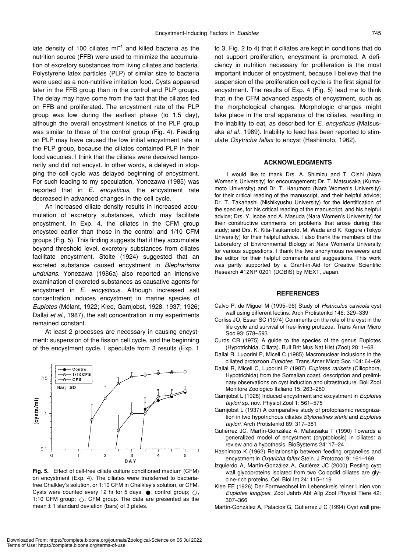iate density of 100 ciliates  $ml^{-1}$  and killed bacteria as the nutrition source (FFB) were used to minimize the accumulation of excretory substances from living ciliates and bacteria. Polystyrene latex particles (PLP) of similar size to bacteria were used as a non-nutritive imitation food. Cysts appeared later in the FFB group than in the control and PLP groups. The delay may have come from the fact that the ciliates fed on FFB and proliferated. The encystment rate of the PLP group was low during the earliest phase (to 1.5 day), although the overall encystment kinetics of the PLP group was similar to those of the control group (Fig. 4). Feeding on PLP may have caused the low initial encystment rate in the PLP group, because the ciliates contained PLP in their food vacuoles. I think that the ciliates were deceived temporarily and did not encyst. In other words, a delayed in stopping the cell cycle was delayed beginning of encystment. For such leading to my speculation, Yonezawa (1985) was reported that in *E. encysticus*, the encystment rate decreased in advanced changes in the cell cycle.

An increased ciliate density results in increased accumulation of excretory substances, which may facilitate encystment. In Exp. 4, the ciliates in the CFM group encysted earlier than those in the control and 1/10 CFM groups (Fig. 5). This finding suggests that if they accumulate beyond threshold level, excretory substances from ciliates facilitate encystment. Stolte (1924) suggested that an excreted substance caused encystment in *Blepharisma undulans*. Yonezawa (1986a) also reported an intensive examination of excreted substances as causative agents for encystment in *E. encysticus*. Although increased salt concentration induces encystment in marine species of *Euplotes* (Mélant, 1922; Klee, Garnjobst, 1928, 1937; 1926; Dallai *et al*., 1987), the salt concentration in my experiments remained constant.

At least 2 processes are necessary in causing encystment: suspension of the fission cell cycle, and the beginning of the encystment cycle. I speculate from 3 results (Exp. 1



**Fig. 5.** Effect of cell-free ciliate culture conditioned medium (CFM) on encystment (Exp. 4). The ciliates were transferred to bacteriafree Chalkley's solution, or 1:10 CFM in Chalkley's solution, or CFM. Cysts were counted every 12 hr for 5 days. , control group; 1:10 CFM group; , CFM group. The data are presented as the mean  $\pm$  1 standard deviation (bars) of 3 plates.

to 3, Fig. 2 to 4) that if ciliates are kept in conditions that do not support proliferation, encystment is promoted. A deficiency in nutrition necessary for proliferation is the most important inducer of encystment, because I believe that the suspension of the proliferation cell cycle is the first signal for encystment. The results of Exp. 4 (Fig. 5) lead me to think that in the CFM advanced aspects of encystment, such as the morphological changes. Morphologic changes might take place in the oral apparatus of the ciliates, resulting in the inability to eat, as described for *E. encysticus* (Matsusaka *et al*., 1989). Inability to feed has been reported to stimulate *Oxytricha fallax* to encyst (Hashimoto, 1962).

# **ACKNOWLEDGMENTS**

I would like to thank Drs. A. Shimizu and T. Oishi (Nara Women's University) for encouragement; Dr. T. Matsusaka (Kumamoto University) and Dr. T. Harumoto (Nara Women's University) for their critical reading of the manuscript, and their helpful advice; Dr. T. Takahashi (Nishikyushu University) for the identification of the species, for his critical reading of the manuscript, and his helpful advice; Drs. Y. Isobe and A. Masuda (Nara Women's University) for their constructive comments on problems that arose during this study; and Drs. K. Kita-Tsukamoto, M. Wada and K. Kogure (Tokyo University) for their helpful advice. I also thank the members of the Laboratory of Environmental Biology at Nara Women's University for various suggestions. I thank the two anonymous reviewers and the editor for their helpful comments and suggestions. This work was partly supported by a Grant-in-Aid for Creative Scientific Research #12NP 0201 (DOBIS) by MEXT, Japan.

#### **REFERENCES**

- Calvo P, de Miguel M (1995–96) Study of *Histriculus cavicola* cyst wall using different lectins. Arch Protistenkd 146: 329–339
- Corliss JO, Esser SC (1974) Comments on the role of the cyst in the life cycle and survival of free-living protozoa. Trans Amer Micro Soc 93: 578–593
- Curds CR (1975) A guide to the species of the genus Euplotes (Hypotrichida, Ciliata). Bull Brit Mus Nat Hist (Zool) 28: 1–68
- Dallai R, Luporini P, Miceli C (1985) Macronuclear inclusions in the ciliated protozoon *Euplotes*. Trans Amer Micro Soc 104: 64–69
- Dallai R, Miceli C, Luporini P (1987) *Euplotes rariseta* (Ciliophora, Hypotrichida) from the Somalian coast, description and preliminary observations on cyst induction and ultrastructure. Boll Zool Monitore Zoologico Italiano 15: 263–280
- Garnjobst L (1928) Induced encystment and excystment in *Euplotes taylori* sp. nov. Physiol Zool 1: 561–575
- Garnjobst L (1937) A comparative study of protoplasmic recognization in two hypotrichous ciliates *Stylonethes sterki* and *Euplotes taylori*. Arch Protistenkd 89: 317–381
- Gutiérrez JC, Martín-González A, Matsusaka T (1990) Towards a generalized model of encystment (cryptobiosis) in ciliates: a review and a hypothesis. BioSystems 24: 17–24
- Hashimoto K (1962) Relationship between feeding organelles and encystment in *Oxytricha fallax* Stein. J Protozool 9: 161–169
- Izquierdo A, Martín-González A, Gutiérez JC (2000) Resting cyst wall glycoproteins isolated from two Colopdid ciliates are glycine-rich proteins. Cell Biol Int 24: 115–119
- Klee EE (1926) Der Formwechsel im Lebenskreis reiner Linien von *Euplotes longipes*. Zool Jahrb Abt Allg Zool Physiol Tiere 42: 307–366
- Martín-González A, Palacios G, Gutierrez J C (1994) Cyst wall pre-